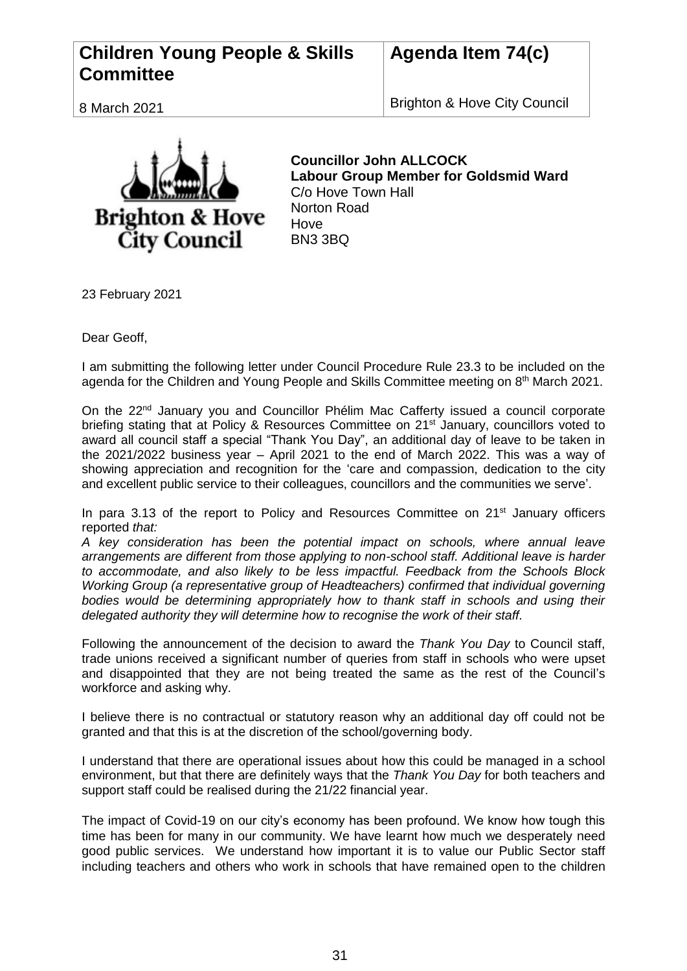## **Children Young People & Skills Committee**

## **Agenda Item 74(c)**

8 March 2021

Brighton & Hove City Council



**Councillor John ALLCOCK Labour Group Member for Goldsmid Ward** C/o Hove Town Hall Norton Road **Hove** BN3 3BQ

23 February 2021

Dear Geoff,

I am submitting the following letter under Council Procedure Rule 23.3 to be included on the agenda for the Children and Young People and Skills Committee meeting on 8<sup>th</sup> March 2021.

On the 22<sup>nd</sup> January you and Councillor Phélim Mac Cafferty issued a council corporate briefing stating that at Policy & Resources Committee on 21<sup>st</sup> January, councillors voted to award all council staff a special "Thank You Day", an additional day of leave to be taken in the 2021/2022 business year – April 2021 to the end of March 2022. This was a way of showing appreciation and recognition for the 'care and compassion, dedication to the city and excellent public service to their colleagues, councillors and the communities we serve'.

In para 3.13 of the report to Policy and Resources Committee on 21<sup>st</sup> January officers reported *that:*

*A key consideration has been the potential impact on schools, where annual leave arrangements are different from those applying to non-school staff. Additional leave is harder to accommodate, and also likely to be less impactful. Feedback from the Schools Block Working Group (a representative group of Headteachers) confirmed that individual governing bodies would be determining appropriately how to thank staff in schools and using their delegated authority they will determine how to recognise the work of their staff.*

Following the announcement of the decision to award the *Thank You Day* to Council staff, trade unions received a significant number of queries from staff in schools who were upset and disappointed that they are not being treated the same as the rest of the Council's workforce and asking why.

I believe there is no contractual or statutory reason why an additional day off could not be granted and that this is at the discretion of the school/governing body.

I understand that there are operational issues about how this could be managed in a school environment, but that there are definitely ways that the *Thank You Day* for both teachers and support staff could be realised during the 21/22 financial year.

The impact of Covid-19 on our city's economy has been profound. We know how tough this time has been for many in our community. We have learnt how much we desperately need good public services. We understand how important it is to value our Public Sector staff including teachers and others who work in schools that have remained open to the children